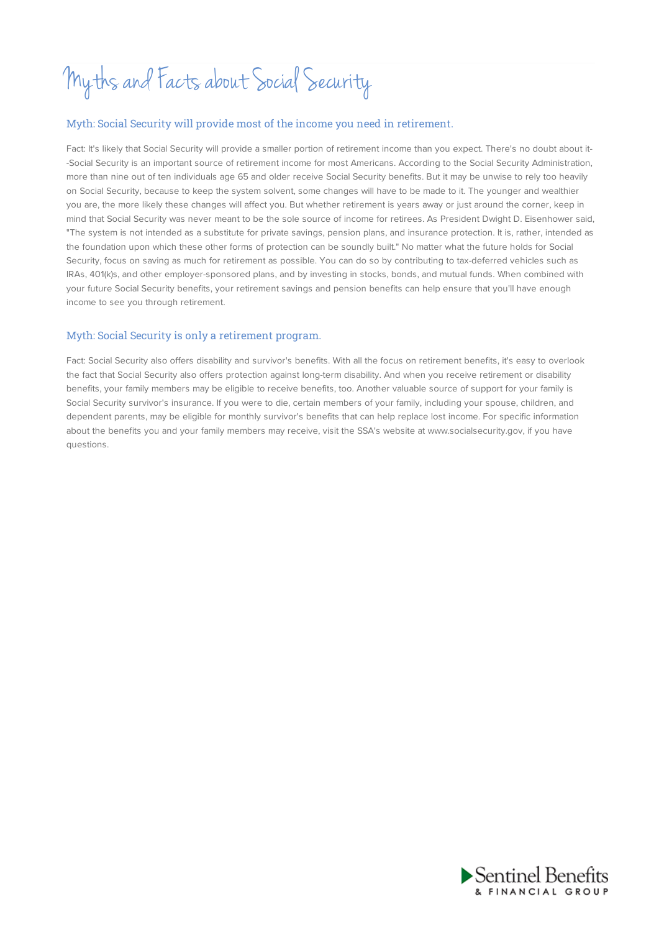# Myths and Facts about Social Security

## Myth: Social Security will provide most of the income you need in retirement.

Fact: It's likely that Social Security will provide a smaller portion of retirement income than you expect. There's no doubt about it- -Social Security is an important source of retirement income for most Americans. According to the Social Security Administration, more than nine out of ten individuals age 65 and older receive Social Security benefits. But it may be unwise to rely too heavily on Social Security, because to keep the system solvent, some changes will have to be made to it. The younger and wealthier you are, the more likely these changes will affect you. But whether retirement is years away or just around the corner, keep in mind that Social Security was never meant to be the sole source of income for retirees. As President Dwight D. Eisenhower said, "The system is not intended as a substitute for private savings, pension plans, and insurance protection. It is, rather, intended as the foundation upon which these other forms of protection can be soundly built." No matter what the future holds for Social Security, focus on saving as much for retirement as possible. You can do so by contributing to tax-deferred vehicles such as IRAs, 401(k)s, and other employer-sponsored plans, and by investing in stocks, bonds, and mutual funds. When combined with your future Social Security benefits, your retirement savings and pension benefits can help ensure that you'll have enough income to see you through retirement.

## Myth: Social Security is only a retirement program.

Fact: Social Security also offers disability and survivor's benefits. With all the focus on retirement benefits, it's easy to overlook the fact that Social Security also offers protection against long-term disability. And when you receive retirement or disability benefits, your family members may be eligible to receive benefits, too. Another valuable source of support for your family is Social Security survivor's insurance. If you were to die, certain members of your family, including your spouse, children, and dependent parents, may be eligible for monthly survivor's benefits that can help replace lost income. For specific information about the benefits you and your family members may receive, visit the SSA's website at www.socialsecurity.gov, if you have questions.